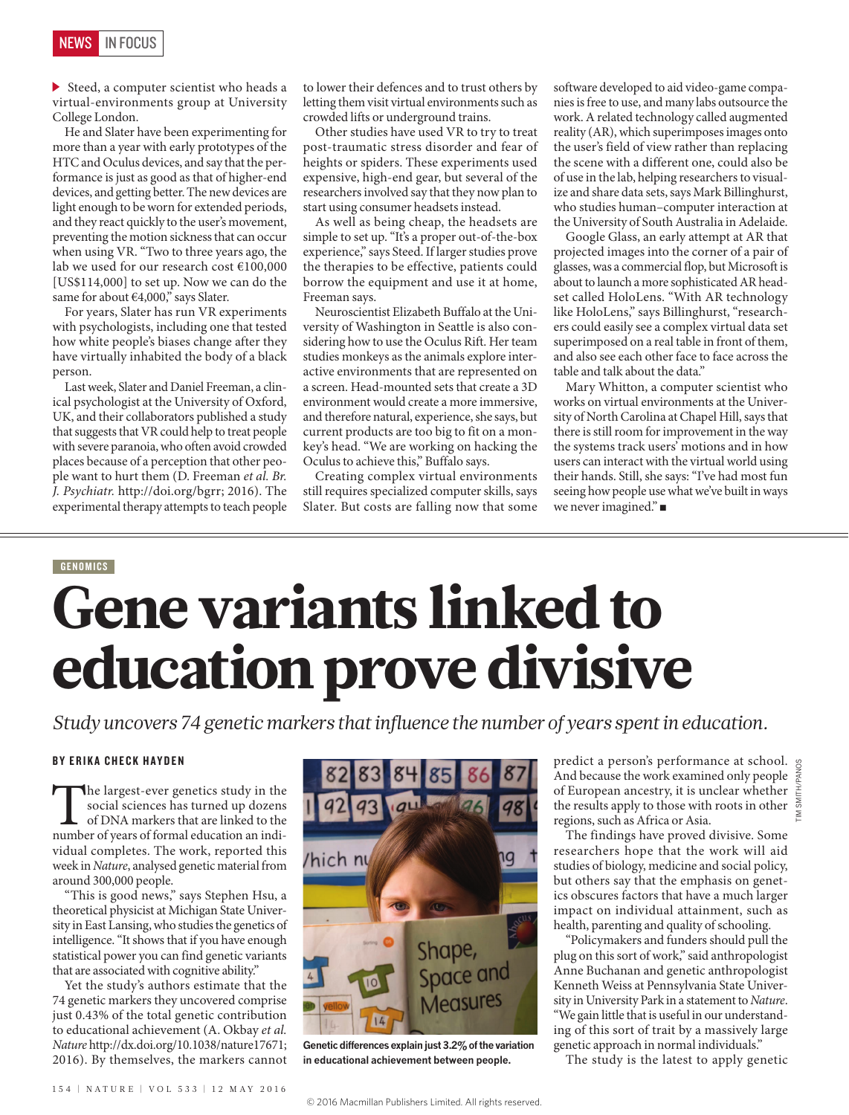$\triangleright$  Steed, a computer scientist who heads a virtual-environments group at University College London.

He and Slater have been experimenting for more than a year with early prototypes of the HTC and Oculus devices, and say that the performance is just as good as that of higher-end devices, and getting better. The new devices are light enough to be worn for extended periods, and they react quickly to the user's movement, preventing the motion sickness that can occur when using VR. "Two to three years ago, the lab we used for our research cost €100,000 [US\$114,000] to set up. Now we can do the same for about €4,000," says Slater.

For years, Slater has run VR experiments with psychologists, including one that tested how white people's biases change after they have virtually inhabited the body of a black person.

Last week, Slater and Daniel Freeman, a clinical psychologist at the University of Oxford, UK, and their collaborators published a study that suggests that VR could help to treat people with severe paranoia, who often avoid crowded places because of a perception that other people want to hurt them (D. Freeman *et al. Br. J. Psychiatr.* http://doi.org/bgrr; 2016). The experimental therapy attempts to teach people to lower their defences and to trust others by letting them visit virtual environments such as crowded lifts or underground trains.

Other studies have used VR to try to treat post-traumatic stress disorder and fear of heights or spiders. These experiments used expensive, high-end gear, but several of the researchers involved say that they now plan to start using consumer headsets instead.

As well as being cheap, the headsets are simple to set up. "It's a proper out-of-the-box experience," says Steed. If larger studies prove the therapies to be effective, patients could borrow the equipment and use it at home, Freeman says.

Neuroscientist Elizabeth Buffalo at the University of Washington in Seattle is also considering how to use the Oculus Rift. Her team studies monkeys as the animals explore interactive environments that are represented on a screen. Head-mounted sets that create a 3D environment would create a more immersive, and therefore natural, experience, she says, but current products are too big to fit on a monkey's head. "We are working on hacking the Oculus to achieve this," Buffalo says.

Creating complex virtual environments still requires specialized computer skills, says Slater. But costs are falling now that some

software developed to aid video-game companies is free to use, and many labs outsource the work. A related technology called augmented reality (AR), which superimposes images onto the user's field of view rather than replacing the scene with a different one, could also be of use in the lab, helping researchers to visualize and share data sets, says Mark Billinghurst, who studies human–computer interaction at the University of South Australia in Adelaide.

Google Glass, an early attempt at AR that projected images into the corner of a pair of glasses, was a commercial flop, but Microsoft is about to launch a more sophisticated AR headset called HoloLens. "With AR technology like HoloLens," says Billinghurst, "researchers could easily see a complex virtual data set superimposed on a real table in front of them, and also see each other face to face across the table and talk about the data."

Mary Whitton, a computer scientist who works on virtual environments at the University of North Carolina at Chapel Hill, says that there is still room for improvement in the way the systems track users' motions and in how users can interact with the virtual world using their hands. Still, she says: "I've had most fun seeing how people use what we've built in ways we never imagined." ■

## **GENOMICS** Gene variants linked to education prove divisive

*Study uncovers 74 genetic markers that influence the number of years spent in education.*

## BY ERIKA CHECK HAYDEN

The largest-ever genetics study in the social sciences has turned up dozens of DNA markers that are linked to the number of years of formal education an indisocial sciences has turned up dozens of DNA markers that are linked to the vidual completes. The work, reported this week in *Nature*, analysed genetic material from around 300,000 people.

"This is good news," says Stephen Hsu, a theoretical physicist at Michigan State University in East Lansing, who studies the genetics of intelligence. "It shows that if you have enough statistical power you can find genetic variants that are associated with cognitive ability."

Yet the study's authors estimate that the 74 genetic markers they uncovered comprise just 0.43% of the total genetic contribution to educational achievement (A. Okbay *et al. Nature* http://dx.doi.org/10.1038/nature17671; 2016). By themselves, the markers cannot



**Genetic differences explain just 3.2% of the variation in educational achievement between people.**

predict a person's performance at school.  $g$ And because the work examined only people of European ancestry, it is unclear whether the results apply to those with roots in other regions, such as Africa or Asia.

The findings have proved divisive. Some researchers hope that the work will aid studies of biology, medicine and social policy, but others say that the emphasis on genetics obscures factors that have a much larger impact on individual attainment, such as health, parenting and quality of schooling.

"Policymakers and funders should pull the plug on this sort of work," said anthropologist Anne Buchanan and genetic anthropologist Kenneth Weiss at Pennsylvania State University in University Park in a statement to *Nature*. "We gain little that is useful in our understanding of this sort of trait by a massively large genetic approach in normal individuals."

The study is the latest to apply genetic